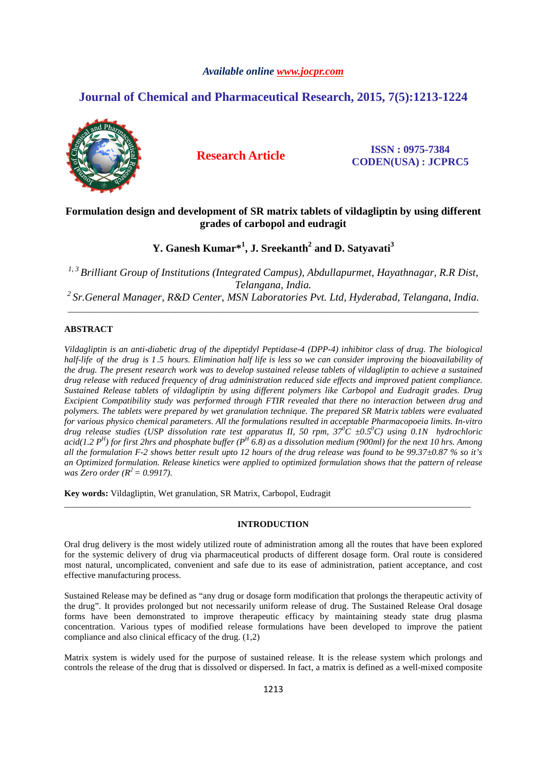## *Available online www.jocpr.com*

# **Journal of Chemical and Pharmaceutical Research, 2015, 7(5):1213-1224**



## **Research Article ISSN : 0975-7384 CODEN(USA) : JCPRC5**

## **Formulation design and development of SR matrix tablets of vildagliptin by using different grades of carbopol and eudragit**

**Y. Ganesh Kumar\*<sup>1</sup> , J. Sreekanth<sup>2</sup> and D. Satyavati<sup>3</sup>**

*1, 3 Brilliant Group of Institutions (Integrated Campus), Abdullapurmet, Hayathnagar, R.R Dist, Telangana, India. <sup>2</sup>Sr.General Manager, R&D Center, MSN Laboratories Pvt. Ltd, Hyderabad, Telangana, India.* 

*\_\_\_\_\_\_\_\_\_\_\_\_\_\_\_\_\_\_\_\_\_\_\_\_\_\_\_\_\_\_\_\_\_\_\_\_\_\_\_\_\_\_\_\_\_\_\_\_\_\_\_\_\_\_\_\_\_\_\_\_\_\_\_\_\_\_\_\_\_\_\_\_\_\_\_\_\_\_\_\_\_\_\_\_\_\_\_\_\_\_\_\_* 

## **ABSTRACT**

*Vildagliptin is an anti-diabetic drug of the dipeptidyl Peptidase-4 (DPP-4) inhibitor class of drug. The biological half-life of the drug is 1 .5 hours. Elimination half life is less so we can consider improving the bioavailability of the drug. The present research work was to develop sustained release tablets of vildagliptin to achieve a sustained drug release with reduced frequency of drug administration reduced side effects and improved patient compliance. Sustained Release tablets of vildagliptin by using different polymers like Carbopol and Eudragit grades. Drug Excipient Compatibility study was performed through FTIR revealed that there no interaction between drug and polymers. The tablets were prepared by wet granulation technique. The prepared SR Matrix tablets were evaluated for various physico chemical parameters. All the formulations resulted in acceptable Pharmacopoeia limits. In-vitro drug release studies (USP dissolution rate test apparatus II, 50 rpm, 37<sup>0</sup>C ±0.5<sup>0</sup>C) using 0.1N hydrochloric acid(1.2 P<sup>H</sup> ) for first 2hrs and phosphate buffer (P<sup>H</sup> 6.8) as a dissolution medium (900ml) for the next 10 hrs. Among all the formulation F-2 shows better result upto 12 hours of the drug release was found to be 99.37±0.87 % so it's an Optimized formulation. Release kinetics were applied to optimized formulation shows that the pattern of release was Zero order (R<sup>2</sup>= 0.9917).* 

**Key words:** Vildagliptin, Wet granulation, SR Matrix, Carbopol, Eudragit

### **INTRODUCTION**

\_\_\_\_\_\_\_\_\_\_\_\_\_\_\_\_\_\_\_\_\_\_\_\_\_\_\_\_\_\_\_\_\_\_\_\_\_\_\_\_\_\_\_\_\_\_\_\_\_\_\_\_\_\_\_\_\_\_\_\_\_\_\_\_\_\_\_\_\_\_\_\_\_\_\_\_\_\_\_\_\_\_\_\_\_\_\_\_\_\_\_

Oral drug delivery is the most widely utilized route of administration among all the routes that have been explored for the systemic delivery of drug via pharmaceutical products of different dosage form. Oral route is considered most natural, uncomplicated, convenient and safe due to its ease of administration, patient acceptance, and cost effective manufacturing process.

Sustained Release may be defined as "any drug or dosage form modification that prolongs the therapeutic activity of the drug". It provides prolonged but not necessarily uniform release of drug. The Sustained Release Oral dosage forms have been demonstrated to improve therapeutic efficacy by maintaining steady state drug plasma concentration. Various types of modified release formulations have been developed to improve the patient compliance and also clinical efficacy of the drug. (1,2)

Matrix system is widely used for the purpose of sustained release. It is the release system which prolongs and controls the release of the drug that is dissolved or dispersed. In fact, a matrix is defined as a well-mixed composite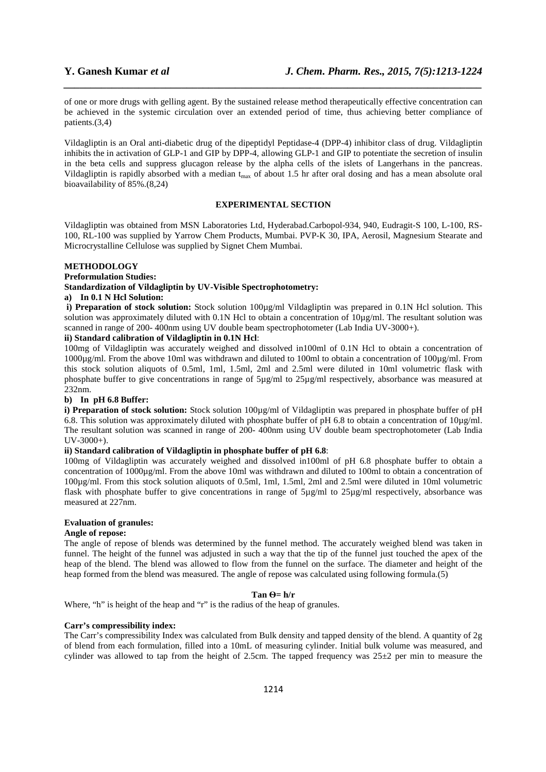of one or more drugs with gelling agent. By the sustained release method therapeutically effective concentration can be achieved in the systemic circulation over an extended period of time, thus achieving better compliance of patients.(3,4)

*\_\_\_\_\_\_\_\_\_\_\_\_\_\_\_\_\_\_\_\_\_\_\_\_\_\_\_\_\_\_\_\_\_\_\_\_\_\_\_\_\_\_\_\_\_\_\_\_\_\_\_\_\_\_\_\_\_\_\_\_\_\_\_\_\_\_\_\_\_\_\_\_\_\_\_\_\_\_*

Vildagliptin is an Oral anti-diabetic drug of the dipeptidyl Peptidase-4 (DPP-4) inhibitor class of drug. Vildagliptin inhibits the in activation of GLP-1 and GIP by DPP-4, allowing GLP-1 and GIP to potentiate the secretion of insulin in the beta cells and suppress glucagon release by the alpha cells of the islets of Langerhans in the pancreas. Vildagliptin is rapidly absorbed with a median  $t_{max}$  of about 1.5 hr after oral dosing and has a mean absolute oral bioavailability of 85%.(8,24)

## **EXPERIMENTAL SECTION**

Vildagliptin was obtained from MSN Laboratories Ltd, Hyderabad.Carbopol-934, 940, Eudragit-S 100, L-100, RS-100, RL-100 was supplied by Yarrow Chem Products, Mumbai. PVP-K 30, IPA, Aerosil, Magnesium Stearate and Microcrystalline Cellulose was supplied by Signet Chem Mumbai.

## **METHODOLOGY**

## **Preformulation Studies:**

## **Standardization of Vildagliptin by UV-Visible Spectrophotometry:**

## **a) In 0.1 N Hcl Solution:**

**i) Preparation of stock solution:** Stock solution  $100\mu\text{g/ml}$  Vildagliptin was prepared in 0.1N Hcl solution. This solution was approximately diluted with 0.1N Hcl to obtain a concentration of  $10\mu$ g/ml. The resultant solution was scanned in range of 200- 400nm using UV double beam spectrophotometer (Lab India UV-3000+).

## **ii) Standard calibration of Vildagliptin in 0.1N Hcl**:

100mg of Vildagliptin was accurately weighed and dissolved in100ml of 0.1N Hcl to obtain a concentration of 1000µg/ml. From the above 10ml was withdrawn and diluted to 100ml to obtain a concentration of 100µg/ml. From this stock solution aliquots of 0.5ml, 1ml, 1.5ml, 2ml and 2.5ml were diluted in 10ml volumetric flask with phosphate buffer to give concentrations in range of 5µg/ml to 25µg/ml respectively, absorbance was measured at 232nm.

### **b) In pH 6.8 Buffer:**

**i) Preparation of stock solution:** Stock solution 100µg/ml of Vildagliptin was prepared in phosphate buffer of pH 6.8. This solution was approximately diluted with phosphate buffer of pH 6.8 to obtain a concentration of  $10\mu\text{g/mL}$ . The resultant solution was scanned in range of 200- 400nm using UV double beam spectrophotometer (Lab India  $UV-3000+$ ).

## **ii) Standard calibration of Vildagliptin in phosphate buffer of pH 6.8**:

100mg of Vildagliptin was accurately weighed and dissolved in100ml of pH 6.8 phosphate buffer to obtain a concentration of 1000µg/ml. From the above 10ml was withdrawn and diluted to 100ml to obtain a concentration of 100µg/ml. From this stock solution aliquots of 0.5ml, 1ml, 1.5ml, 2ml and 2.5ml were diluted in 10ml volumetric flask with phosphate buffer to give concentrations in range of 5µg/ml to 25µg/ml respectively, absorbance was measured at 227nm.

#### **Evaluation of granules:**

#### **Angle of repose:**

The angle of repose of blends was determined by the funnel method. The accurately weighed blend was taken in funnel. The height of the funnel was adjusted in such a way that the tip of the funnel just touched the apex of the heap of the blend. The blend was allowed to flow from the funnel on the surface. The diameter and height of the heap formed from the blend was measured. The angle of repose was calculated using following formula.(5)

#### **Tan**  $\Theta$ **= h/r**

Where, "h" is height of the heap and "r" is the radius of the heap of granules.

#### **Carr's compressibility index:**

The Carr's compressibility Index was calculated from Bulk density and tapped density of the blend. A quantity of 2g of blend from each formulation, filled into a 10mL of measuring cylinder. Initial bulk volume was measured, and cylinder was allowed to tap from the height of 2.5cm. The tapped frequency was  $25\pm2$  per min to measure the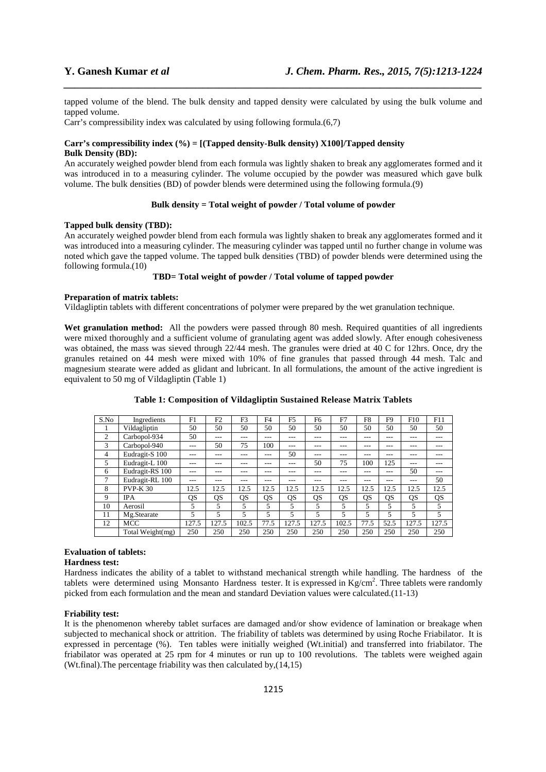tapped volume of the blend. The bulk density and tapped density were calculated by using the bulk volume and tapped volume.

*\_\_\_\_\_\_\_\_\_\_\_\_\_\_\_\_\_\_\_\_\_\_\_\_\_\_\_\_\_\_\_\_\_\_\_\_\_\_\_\_\_\_\_\_\_\_\_\_\_\_\_\_\_\_\_\_\_\_\_\_\_\_\_\_\_\_\_\_\_\_\_\_\_\_\_\_\_\_*

Carr's compressibility index was calculated by using following formula.(6,7)

#### **Carr's compressibility index (%) = [(Tapped density-Bulk density) X100]/Tapped density Bulk Density (BD):**

An accurately weighed powder blend from each formula was lightly shaken to break any agglomerates formed and it was introduced in to a measuring cylinder. The volume occupied by the powder was measured which gave bulk volume. The bulk densities (BD) of powder blends were determined using the following formula.(9)

## **Bulk density = Total weight of powder / Total volume of powder**

#### **Tapped bulk density (TBD):**

An accurately weighed powder blend from each formula was lightly shaken to break any agglomerates formed and it was introduced into a measuring cylinder. The measuring cylinder was tapped until no further change in volume was noted which gave the tapped volume. The tapped bulk densities (TBD) of powder blends were determined using the following formula.(10)

## **TBD= Total weight of powder / Total volume of tapped powder**

## **Preparation of matrix tablets:**

Vildagliptin tablets with different concentrations of polymer were prepared by the wet granulation technique.

**Wet granulation method:** All the powders were passed through 80 mesh. Required quantities of all ingredients were mixed thoroughly and a sufficient volume of granulating agent was added slowly. After enough cohesiveness was obtained, the mass was sieved through 22/44 mesh. The granules were dried at 40 C for 12hrs. Once, dry the granules retained on 44 mesh were mixed with 10% of fine granules that passed through 44 mesh. Talc and magnesium stearate were added as glidant and lubricant. In all formulations, the amount of the active ingredient is equivalent to 50 mg of Vildagliptin (Table 1)

| S.No | Ingredients               | F1    | F2        | F3      | F4    | F <sub>5</sub> | F6    | F7    | F8                       | F9   | F10   | F11   |
|------|---------------------------|-------|-----------|---------|-------|----------------|-------|-------|--------------------------|------|-------|-------|
|      | Vildagliptin              | 50    | 50        | 50      | 50    | 50             | 50    | 50    | 50                       | 50   | 50    | 50    |
| 2    | Carbopol-934              | 50    | $---$     | $- - -$ | $---$ |                | ---   | ---   | ---                      | ---  | ---   | ---   |
| 3    | Carbopol-940              | ---   | 50        | 75      | 100   | $---$          | ---   | ---   | $- - -$                  | ---  | ---   | ---   |
| 4    | Eudragit-S <sub>100</sub> | ---   | ---       |         | ---   | 50             | ---   | ---   | ---                      | ---  | ---   |       |
| 5    | Eudragit-L 100            | ---   | ---       |         |       |                | 50    | 75    | 100                      | 125  | ---   |       |
| 6    | Eudragit-RS 100           | ---   | ---       | ---     | $---$ |                | ---   | $---$ | ---                      | ---  | 50    | ---   |
|      | Eudragit-RL 100           | ---   | ---       |         |       |                | ---   | ---   | ---                      | ---  | ---   | 50    |
| 8    | <b>PVP-K30</b>            | 12.5  | 12.5      | 12.5    | 12.5  | 12.5           | 12.5  | 12.5  | 12.5                     | 12.5 | 12.5  | 12.5  |
| 9    | <b>IPA</b>                | QS    | <b>OS</b> | QS      | QS    | <b>OS</b>      | QS    | QS    | <b>OS</b>                | OS   | QS    | QS    |
| 10   | Aerosil                   | 5     | 5         | 5       | 5     | 5              | 5     | 5     | $\overline{\phantom{1}}$ | 5    | 5     | 5     |
| 11   | Mg.Stearate               | 5     | 5         | 5       | 5     | 5              | 5     | 5     | $\overline{\mathcal{L}}$ | 5    | 5     | 5     |
| 12   | <b>MCC</b>                | 127.5 | 127.5     | 102.5   | 77.5  | 127.5          | 127.5 | 102.5 | 77.5                     | 52.5 | 127.5 | 127.5 |
|      | Total Weight(mg)          | 250   | 250       | 250     | 250   | 250            | 250   | 250   | 250                      | 250  | 250   | 250   |

## **Table 1: Composition of Vildagliptin Sustained Release Matrix Tablets**

## **Evaluation of tablets:**

## **Hardness test:**

Hardness indicates the ability of a tablet to withstand mechanical strength while handling. The hardness of the tablets were determined using Monsanto Hardness tester. It is expressed in  $Kg/cm<sup>2</sup>$ . Three tablets were randomly picked from each formulation and the mean and standard Deviation values were calculated.(11-13)

### **Friability test:**

It is the phenomenon whereby tablet surfaces are damaged and/or show evidence of lamination or breakage when subjected to mechanical shock or attrition. The friability of tablets was determined by using Roche Friabilator. It is expressed in percentage (%). Ten tables were initially weighed (Wt.initial) and transferred into friabilator. The friabilator was operated at 25 rpm for 4 minutes or run up to 100 revolutions. The tablets were weighed again (Wt.final).The percentage friability was then calculated by,(14,15)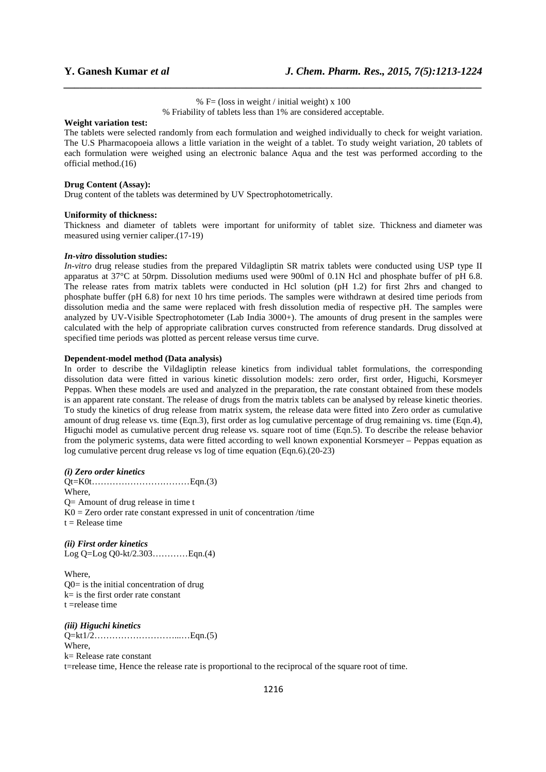% F= (loss in weight / initial weight)  $x$  100 % Friability of tablets less than 1% are considered acceptable.

*\_\_\_\_\_\_\_\_\_\_\_\_\_\_\_\_\_\_\_\_\_\_\_\_\_\_\_\_\_\_\_\_\_\_\_\_\_\_\_\_\_\_\_\_\_\_\_\_\_\_\_\_\_\_\_\_\_\_\_\_\_\_\_\_\_\_\_\_\_\_\_\_\_\_\_\_\_\_*

#### **Weight variation test:**

The tablets were selected randomly from each formulation and weighed individually to check for weight variation. The U.S Pharmacopoeia allows a little variation in the weight of a tablet. To study weight variation, 20 tablets of each formulation were weighed using an electronic balance Aqua and the test was performed according to the official method.(16)

## **Drug Content (Assay):**

Drug content of the tablets was determined by UV Spectrophotometrically.

## **Uniformity of thickness:**

Thickness and diameter of tablets were important for uniformity of tablet size. Thickness and diameter was measured using vernier caliper.(17-19)

### *In-vitro* **dissolution studies:**

*In-vitro* drug release studies from the prepared Vildagliptin SR matrix tablets were conducted using USP type II apparatus at 37°C at 50rpm. Dissolution mediums used were 900ml of 0.1N Hcl and phosphate buffer of pH 6.8. The release rates from matrix tablets were conducted in Hcl solution (pH 1.2) for first 2hrs and changed to phosphate buffer (pH 6.8) for next 10 hrs time periods. The samples were withdrawn at desired time periods from dissolution media and the same were replaced with fresh dissolution media of respective pH. The samples were analyzed by UV-Visible Spectrophotometer (Lab India 3000+). The amounts of drug present in the samples were calculated with the help of appropriate calibration curves constructed from reference standards. Drug dissolved at specified time periods was plotted as percent release versus time curve.

### **Dependent-model method (Data analysis)**

In order to describe the Vildagliptin release kinetics from individual tablet formulations, the corresponding dissolution data were fitted in various kinetic dissolution models: zero order, first order, Higuchi, Korsmeyer Peppas. When these models are used and analyzed in the preparation, the rate constant obtained from these models is an apparent rate constant. The release of drugs from the matrix tablets can be analysed by release kinetic theories. To study the kinetics of drug release from matrix system, the release data were fitted into Zero order as cumulative amount of drug release vs. time (Eqn.3), first order as log cumulative percentage of drug remaining vs. time (Eqn.4), Higuchi model as cumulative percent drug release vs. square root of time (Eqn.5). To describe the release behavior from the polymeric systems, data were fitted according to well known exponential Korsmeyer – Peppas equation as log cumulative percent drug release vs log of time equation (Eqn.6).(20-23)

*(i) Zero order kinetics*  Qt=K0t……………………………Eqn.(3) Where, Q= Amount of drug release in time t  $K0 =$  Zero order rate constant expressed in unit of concentration /time  $t =$ Release time

*(ii) First order kinetics*  Log Q=Log Q0-kt/2.303…………Eqn.(4)

Where,  $Q0=$  is the initial concentration of drug  $k=$  is the first order rate constant t =release time

*(iii) Higuchi kinetics*  Q=kt1/2………………………...…Eqn.(5) Where, k= Release rate constant t=release time, Hence the release rate is proportional to the reciprocal of the square root of time.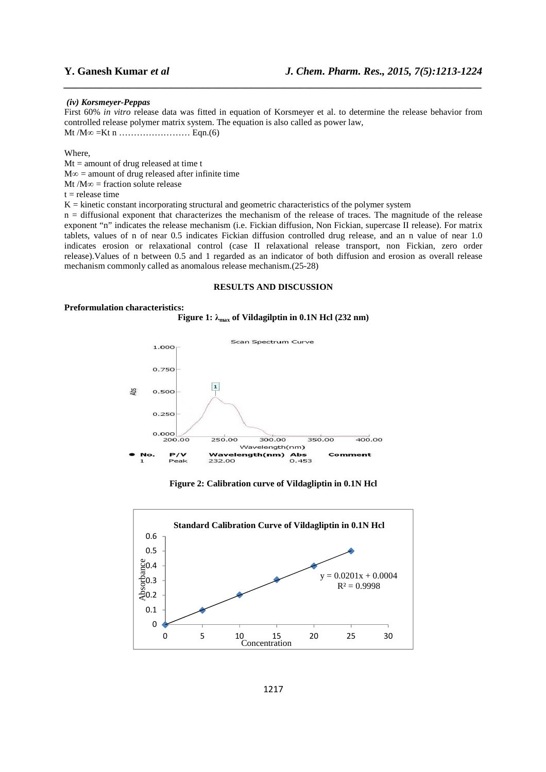#### *(iv) Korsmeyer-Peppas*

First 60% *in vitro* release data was fitted in equation of Korsmeyer et al. to determine the release behavior from controlled release polymer matrix system. The equation is also called as power law, Mt /M∞ =Kt n …………………… Eqn.(6)

*\_\_\_\_\_\_\_\_\_\_\_\_\_\_\_\_\_\_\_\_\_\_\_\_\_\_\_\_\_\_\_\_\_\_\_\_\_\_\_\_\_\_\_\_\_\_\_\_\_\_\_\_\_\_\_\_\_\_\_\_\_\_\_\_\_\_\_\_\_\_\_\_\_\_\_\_\_\_*

#### Where,

 $Mt =$  amount of drug released at time t

M∞ = amount of drug released after infinite time

Mt /M∞ = fraction solute release

 $t =$  release time

 $K =$  kinetic constant incorporating structural and geometric characteristics of the polymer system

n = diffusional exponent that characterizes the mechanism of the release of traces. The magnitude of the release exponent "n" indicates the release mechanism (i.e. Fickian diffusion, Non Fickian, supercase II release). For matrix tablets, values of n of near 0.5 indicates Fickian diffusion controlled drug release, and an n value of near 1.0 indicates erosion or relaxational control (case II relaxational release transport, non Fickian, zero order release).Values of n between 0.5 and 1 regarded as an indicator of both diffusion and erosion as overall release mechanism commonly called as anomalous release mechanism.(25-28)

## **RESULTS AND DISCUSSION**

#### **Preformulation characteristics:**

**Figure 1:**  $\lambda_{\text{max}}$  of Vildagilptin in 0.1N Hcl (232 nm)



**Figure 2: Calibration curve of Vildagliptin in 0.1N Hcl** 

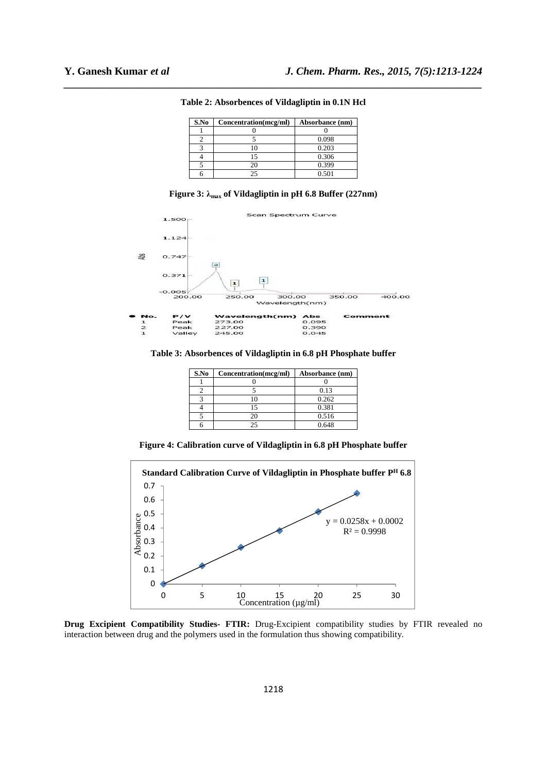| S.No | Concentration(mcg/ml) | Absorbance (nm) |
|------|-----------------------|-----------------|
|      |                       |                 |
|      |                       | 0.098           |
|      | 10                    | 0.203           |
|      | 15                    | 0.306           |
|      | 2Ο                    | 0.399           |
|      | 25                    | 0.501           |

**Table 2: Absorbences of Vildagliptin in 0.1N Hcl** 

*\_\_\_\_\_\_\_\_\_\_\_\_\_\_\_\_\_\_\_\_\_\_\_\_\_\_\_\_\_\_\_\_\_\_\_\_\_\_\_\_\_\_\_\_\_\_\_\_\_\_\_\_\_\_\_\_\_\_\_\_\_\_\_\_\_\_\_\_\_\_\_\_\_\_\_\_\_\_*





**Table 3: Absorbences of Vildagliptin in 6.8 pH Phosphate buffer** 

| S.No | Concentration(mcg/ml) | Absorbance (nm) |
|------|-----------------------|-----------------|
|      |                       |                 |
|      |                       | 0.13            |
|      | 0                     | 0.262           |
|      | 15                    | 0.381           |
|      | 20                    | 0.516           |
|      | つち                    | 0.648           |

**Figure 4: Calibration curve of Vildagliptin in 6.8 pH Phosphate buffer** 



**Drug Excipient Compatibility Studies- FTIR:** Drug-Excipient compatibility studies by FTIR revealed no interaction between drug and the polymers used in the formulation thus showing compatibility.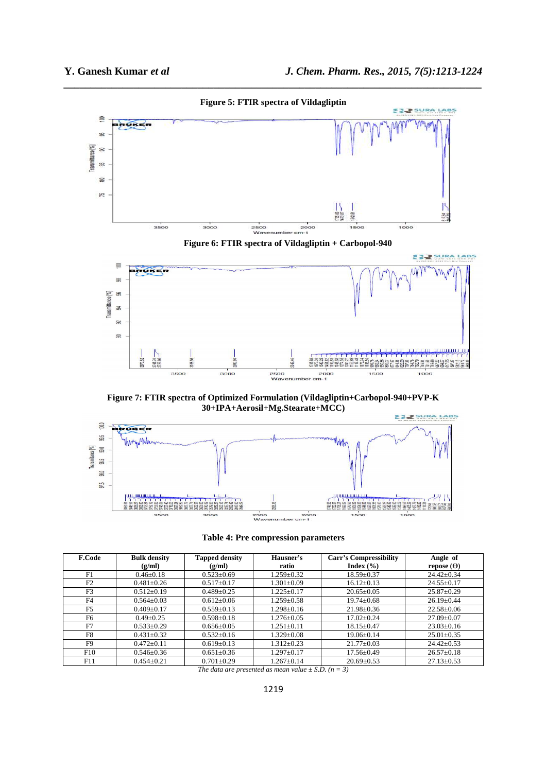<u>in Timmid yn </u>



3870.52 3745.70<br>3728.66 se E E se e E E E E E E E E E E E E E E<br>Se E E Fe E E E E E E E E E E E E E E E **BEE PS** 3500  $2500$ <br>Wavenu 3000  $2000$ <br>m-1 1500 1000 **Figure 7: FTIR spectra of Optimized Formulation (Vildagliptin+Carbopol-940+PVP-K** 

**30+IPA+Aerosil+Mg.Stearate+MCC)** 



**Table 4: Pre compression parameters** 

| <b>F.Code</b>  | <b>Bulk density</b> | <b>Tapped density</b> | Hausner's        | <b>Carr's Compressibility</b> | Angle of          |
|----------------|---------------------|-----------------------|------------------|-------------------------------|-------------------|
|                | (g/ml)              | (g/ml)                | ratio            | Index $(\% )$                 | repose $(\Theta)$ |
| F1             | $0.46 \pm 0.18$     | $0.523 \pm 0.69$      | $1.259 \pm 0.32$ | $18.59 \pm 0.37$              | $24.42 \pm 0.34$  |
| F2             | $0.481 \pm 0.26$    | $0.517 \pm 0.17$      | $1.301 \pm 0.09$ | $16.12 \pm 0.13$              | $24.55 \pm 0.17$  |
| F <sub>3</sub> | $0.512 \pm 0.19$    | $0.489 \pm 0.25$      | $1.225 \pm 0.17$ | $20.65 \pm 0.05$              | $25.87 \pm 0.29$  |
| F4             | $0.564 \pm 0.03$    | $0.612 \pm 0.06$      | $1.259 \pm 0.58$ | $19.74 \pm 0.68$              | $26.19 \pm 0.44$  |
| F <sub>5</sub> | $0.409 + 0.17$      | $0.559 \pm 0.13$      | $1.298 \pm 0.16$ | $21.98 \pm 0.36$              | $22.58 \pm 0.06$  |
| F6             | $0.49 \pm 0.25$     | $0.598 \pm 0.18$      | $1.276 \pm 0.05$ | $17.02 \pm 0.24$              | $27.09 \pm 0.07$  |
| F7             | $0.533 \pm 0.29$    | $0.656 \pm 0.05$      | $1.251 \pm 0.11$ | $18.15 \pm 0.47$              | $23.03 \pm 0.16$  |
| F8             | $0.431 \pm 0.32$    | $0.532 \pm 0.16$      | $1.329 \pm 0.08$ | $19.06 \pm 0.14$              | $25.01 \pm 0.35$  |
| F9             | $0.472 \pm 0.11$    | $0.619 \pm 0.13$      | $1.312 \pm 0.23$ | $21.77 \pm 0.03$              | $24.42 \pm 0.53$  |
| F10            | $0.546 \pm 0.36$    | $0.651 \pm 0.36$      | $1.297 \pm 0.17$ | $17.56 \pm 0.49$              | $26.57 \pm 0.18$  |
| F11            | $0.454 + 0.21$      | $0.701 \pm 0.29$      | $1.267 \pm 0.14$ | $20.69 \pm 0.53$              | $27.13 \pm 0.53$  |

*The data are presented as mean value*  $\pm$  *S.D.*  $(n = 3)$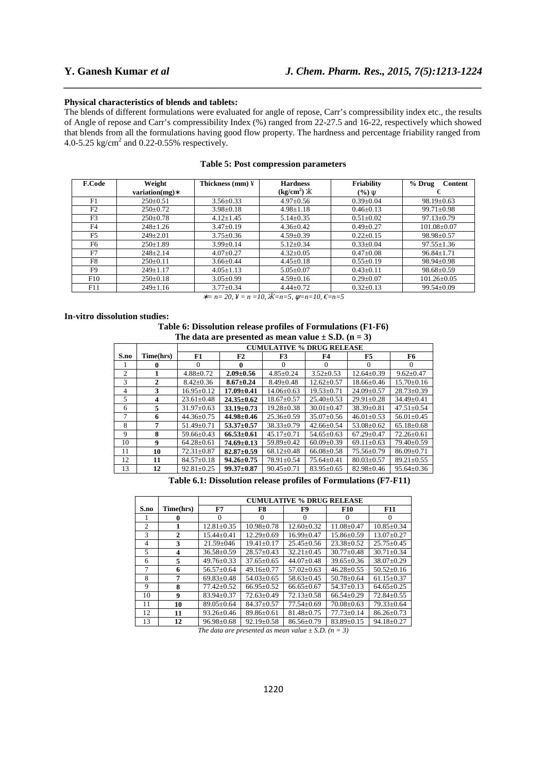#### **Physical characteristics of blends and tablets:**

The blends of different formulations were evaluated for angle of repose, Carr's compressibility index etc., the results of Angle of repose and Carr's compressibility Index (%) ranged from 22-27.5 and 16-22, respectively which showed that blends from all the formulations having good flow property. The hardness and percentage friability ranged from 4.0-5.25  $\text{kg/cm}^2$  and 0.22-0.55% respectively.

*\_\_\_\_\_\_\_\_\_\_\_\_\_\_\_\_\_\_\_\_\_\_\_\_\_\_\_\_\_\_\_\_\_\_\_\_\_\_\_\_\_\_\_\_\_\_\_\_\_\_\_\_\_\_\_\_\_\_\_\_\_\_\_\_\_\_\_\_\_\_\_\_\_\_\_\_\_\_*

| <b>F.Code</b>  | Weight            | Thickness (mm) $\frac{1}{2}$ | <b>Hardness</b>       | Friability      | % Drug<br><b>Content</b> |
|----------------|-------------------|------------------------------|-----------------------|-----------------|--------------------------|
|                | variation(mg) $*$ |                              | $(kg/cm2)$ $\ddot{K}$ | $(\%) \psi$     | €                        |
| F1             | $250 \pm 0.51$    | $3.56 \pm 0.33$              | $4.97 \pm 0.56$       | $0.39 \pm 0.04$ | $98.19 \pm 0.63$         |
| F <sub>2</sub> | $250 \pm 0.72$    | $3.98 \pm 0.18$              | $4.98 \pm 1.18$       | $0.46 \pm 0.13$ | $99.71 \pm 0.98$         |
| F <sub>3</sub> | $250 \pm 0.78$    | $4.12 \pm 1.45$              | $5.14 \pm 0.35$       | $0.51 \pm 0.02$ | $97.13 \pm 0.79$         |
| F <sub>4</sub> | $248 \pm 1.26$    | $3.47 \pm 0.19$              | $4.36 \pm 0.42$       | $0.49 \pm 0.27$ | $101.08 \pm 0.07$        |
| F <sub>5</sub> | $249+2.01$        | $3.75 \pm 0.36$              | $4.59 + 0.39$         | $0.22+0.15$     | $98.98 \pm 0.57$         |
| F6             | $250 \pm 1.89$    | $3.99 \pm 0.14$              | $5.12 \pm 0.34$       | $0.33 \pm 0.04$ | $97.55 \pm 1.36$         |
| F7             | $248 \pm 2.14$    | $4.07 \pm 0.27$              | $4.32 \pm 0.05$       | $0.47 \pm 0.08$ | $96.84 \pm 1.71$         |
| F8             | $250+0.11$        | $3.66 \pm 0.44$              | $4.45 \pm 0.18$       | $0.55 \pm 0.19$ | $98.94 \pm 0.98$         |
| F9             | $249+1.17$        | $4.05 \pm 1.13$              | $5.05 \pm 0.07$       | $0.43 \pm 0.11$ | $98.68 \pm 0.59$         |
| F10            | $250 \pm 0.18$    | $3.05 \pm 0.99$              | $4.59 \pm 0.16$       | $0.29 \pm 0.07$ | $101.26 \pm 0.05$        |
| F11            | $249 \pm 1.16$    | $3.77 \pm 0.34$              | $4.44 \pm 0.72$       | $0.32 \pm 0.13$ | $99.54 \pm 0.09$         |

#### **Table 5: Post compression parameters**

<sup>∗</sup> *= n= 20, ¥ = n =10, Ӝ=n=5,* ψ*=n=10, €=n=5* 

### **In-vitro dissolution studies:**

#### **Table 6: Dissolution release profiles of Formulations (F1-F6)**  The data are presented as mean value  $\pm$  S.D. (n = 3)

|                | The gain are presenced as incan value $\pm$ 5.15; (if $\pm$ 5) |                                  |                  |                  |                  |                  |                  |  |  |
|----------------|----------------------------------------------------------------|----------------------------------|------------------|------------------|------------------|------------------|------------------|--|--|
|                |                                                                | <b>CUMULATIVE % DRUG RELEASE</b> |                  |                  |                  |                  |                  |  |  |
| S.no           | Time(hrs)                                                      | F1                               | F2               | F3               | F4               | F5.              | F6               |  |  |
|                |                                                                | 0                                | 0                | $\theta$         | 0                | 0                | $\Omega$         |  |  |
| 2              |                                                                | $4.88 \pm 0.72$                  | $2.09 \pm 0.56$  | $4.85 \pm 0.24$  | $3.52 \pm 0.53$  | $12.64 \pm 0.39$ | $9.62 \pm 0.47$  |  |  |
| 3              | $\mathbf{2}$                                                   | $8.42 \pm 0.36$                  | $8.67 \pm 0.24$  | $8.49 \pm 0.48$  | $12.62 \pm 0.57$ | $18.66 \pm 0.46$ | $15.70 \pm 0.16$ |  |  |
| 4              | 3                                                              | $16.95 \pm 0.12$                 | $17.09 \pm 0.41$ | $14.06 \pm 0.63$ | $19.53 \pm 0.71$ | $24.09 \pm 0.57$ | $28.73 \pm 0.39$ |  |  |
| $\overline{5}$ | 4                                                              | $23.61 \pm 0.48$                 | $24.35 \pm 0.62$ | $18.67 \pm 0.57$ | $25.40 \pm 0.53$ | $29.91 \pm 0.28$ | $34.49 \pm 0.41$ |  |  |
| 6              | 5.                                                             | $31.97 \pm 0.63$                 | $33.19 \pm 0.73$ | $19.28 \pm 0.38$ | $30.01 \pm 0.47$ | $38.39 \pm 0.81$ | $47.51 \pm 0.54$ |  |  |
| 7              | 6                                                              | $44.36 + 0.75$                   | $44.98 \pm 0.46$ | $25.36 + 0.59$   | $35.07 + 0.56$   | $46.01 + 0.53$   | $56.01 \pm 0.45$ |  |  |
| 8              | 7                                                              | $51.49 \pm 0.71$                 | $53.37 \pm 0.57$ | $38.33 \pm 0.79$ | $42.66 \pm 0.54$ | $53.08 \pm 0.62$ | $65.18 \pm 0.68$ |  |  |
| 9              | 8                                                              | $59.66 \pm 0.43$                 | $66.53 \pm 0.61$ | $45.17 \pm 0.71$ | $54.65 \pm 0.63$ | $67.29 \pm 0.47$ | $72.26 \pm 0.61$ |  |  |
| 10             | 9                                                              | $64.28 \pm 0.61$                 | $74.69 \pm 0.13$ | $59.89 \pm 0.42$ | $60.09 \pm 0.39$ | $69.11 \pm 0.63$ | $79.40 \pm 0.59$ |  |  |
| 11             | 10                                                             | $72.31 \pm 0.87$                 | $82.87 \pm 0.59$ | $68.12 \pm 0.48$ | $66.08 \pm 0.58$ | $75.56 \pm 0.79$ | $86.09 \pm 0.71$ |  |  |
| 12             | 11                                                             | $84.57 \pm 0.18$                 | $94.26 \pm 0.75$ | $78.91 \pm 0.54$ | $75.64 \pm 0.41$ | $80.03 \pm 0.57$ | $89.21 \pm 0.55$ |  |  |
| 13             | 12                                                             | $92.81 \pm 0.25$                 | $99.37 \pm 0.87$ | $90.45 \pm 0.71$ | $83.95 \pm 0.65$ | $82.98 \pm 0.46$ | $95.64 \pm 0.36$ |  |  |

#### **Table 6.1: Dissolution release profiles of Formulations (F7-F11)**

|      |              | <b>CUMULATIVE % DRUG RELEASE</b> |                  |                  |                  |                  |  |
|------|--------------|----------------------------------|------------------|------------------|------------------|------------------|--|
| S.no | Time(hrs)    | F7                               | F8               | F9               | <b>F10</b>       | <b>F11</b>       |  |
|      | 0            | 0                                | $\Omega$         | $\Omega$         |                  | $\Omega$         |  |
| 2    |              | $12.81 + 0.35$                   | $10.98 \pm 0.78$ | $12.60 \pm 0.32$ | $11.08 \pm 0.47$ | $10.85 + 0.34$   |  |
| 3    | $\mathbf{2}$ | $15.44 \pm 0.41$                 | $12.29 \pm 0.69$ | $16.99 \pm 0.47$ | $15.86 \pm 0.59$ | $13.07 \pm 0.27$ |  |
| 4    | 3            | $21.59 + 046$                    | $19.41 + 0.17$   | $25.45+0.56$     | $23.38+0.52$     | $25.75 + 0.45$   |  |
| 5    | 4            | $36.58 \pm 0.59$                 | $28.57+0.43$     | $32.21 \pm 0.45$ | $30.77 \pm 0.48$ | $30.71 \pm 0.34$ |  |
| 6    | 5            | $49.76 + 0.33$                   | $37.65 \pm 0.65$ | $44.07 \pm 0.48$ | $39.65 + 0.36$   | $38.07+0.29$     |  |
| 7    | 6            | $56.57 \pm 0.64$                 | $49.16 \pm 0.77$ | $57.02 \pm 0.63$ | $46.28 \pm 0.55$ | $50.52 \pm 0.16$ |  |
| 8    | 7            | $69.83+0.48$                     | $54.03+0.65$     | $58.63 \pm 0.45$ | $50.78 + 0.64$   | $61.15 + 0.37$   |  |
| 9    | 8            | $77.42+0.52$                     | $66.95 \pm 0.52$ | $66.65 \pm 0.67$ | $54.37+0.13$     | $64.65 \pm 0.25$ |  |
| 10   | 9            | $83.94 + 0.37$                   | $72.63+0.49$     | $72.13 \pm 0.58$ | $66.54 \pm 0.29$ | $72.84 + 0.55$   |  |
| 11   | 10           | $89.05+0.64$                     | $84.37 \pm 0.57$ | $77.54 \pm 0.69$ | $70.08 + 0.63$   | $79.33 \pm 0.64$ |  |
| 12   | 11           | $93.26 + 0.46$                   | $89.86 \pm 0.61$ | $81.48 \pm 0.75$ | $77.73+0.14$     | $86.26 \pm 0.73$ |  |
| 13   | 12           | $96.98 \pm 0.68$                 | $92.19 + 0.58$   | $86.56 \pm 0.79$ | $83.89 + 0.15$   | $94.18 \pm 0.27$ |  |

*The data are presented as mean value*  $\pm$  *S.D.* (*n* = 3)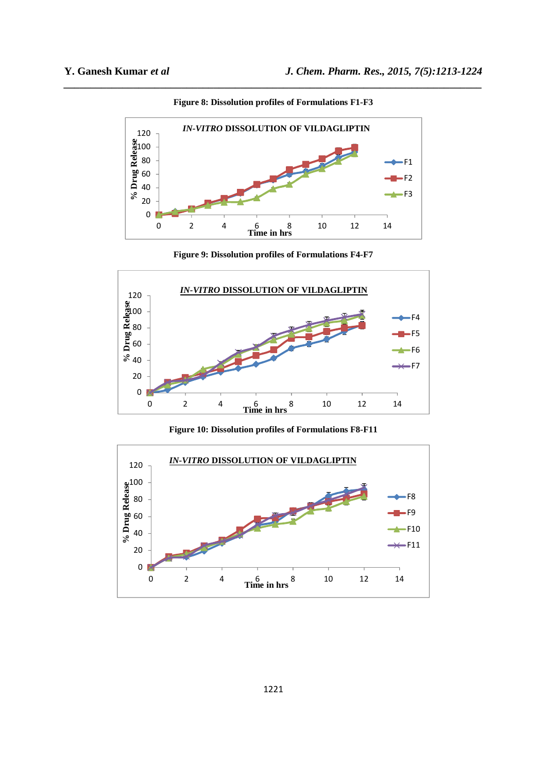

**Figure 8: Dissolution profiles of Formulations F1-F3** 

*\_\_\_\_\_\_\_\_\_\_\_\_\_\_\_\_\_\_\_\_\_\_\_\_\_\_\_\_\_\_\_\_\_\_\_\_\_\_\_\_\_\_\_\_\_\_\_\_\_\_\_\_\_\_\_\_\_\_\_\_\_\_\_\_\_\_\_\_\_\_\_\_\_\_\_\_\_\_*

**Figure 9: Dissolution profiles of Formulations F4-F7** 



**Figure 10: Dissolution profiles of Formulations F8-F11** 

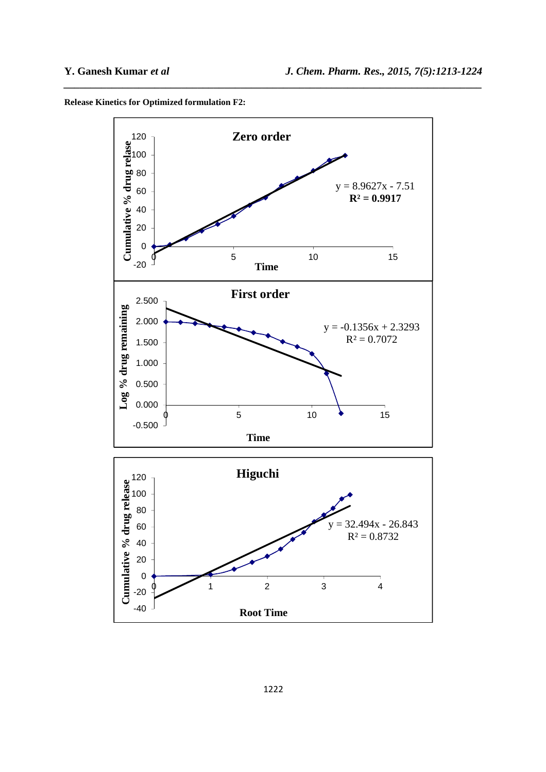**Release Kinetics for Optimized formulation F2:** 



*\_\_\_\_\_\_\_\_\_\_\_\_\_\_\_\_\_\_\_\_\_\_\_\_\_\_\_\_\_\_\_\_\_\_\_\_\_\_\_\_\_\_\_\_\_\_\_\_\_\_\_\_\_\_\_\_\_\_\_\_\_\_\_\_\_\_\_\_\_\_\_\_\_\_\_\_\_\_*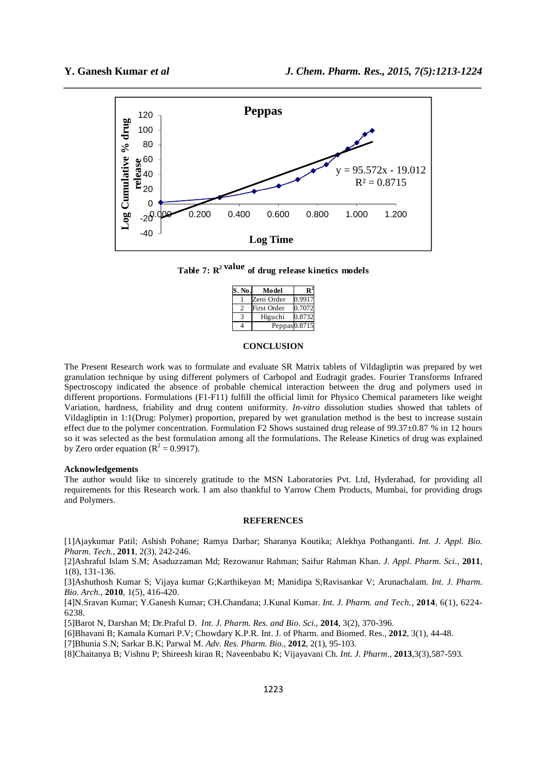

**Table 7: R<sup>2</sup> value of drug release kinetics models** 

| S. No. | Model           |        |
|--------|-----------------|--------|
|        | Zero Order      | 0.9917 |
|        | First Order     | 0.7072 |
|        | Higuchi         | 0.8732 |
|        | Peppas $0.8715$ |        |

## **CONCLUSION**

The Present Research work was to formulate and evaluate SR Matrix tablets of Vildagliptin was prepared by wet granulation technique by using different polymers of Carbopol and Eudragit grades. Fourier Transforms Infrared Spectroscopy indicated the absence of probable chemical interaction between the drug and polymers used in different proportions. Formulations (F1-F11) fulfill the official limit for Physico Chemical parameters like weight Variation, hardness, friability and drug content uniformity. *In-vitro* dissolution studies showed that tablets of Vildagliptin in 1:1(Drug: Polymer) proportion, prepared by wet granulation method is the best to increase sustain effect due to the polymer concentration. Formulation F2 Shows sustained drug release of  $99.37\pm0.87$  % in 12 hours so it was selected as the best formulation among all the formulations. The Release Kinetics of drug was explained by Zero order equation  $(R^2 = 0.9917)$ .

## **Acknowledgements**

The author would like to sincerely gratitude to the MSN Laboratories Pvt. Ltd, Hyderabad, for providing all requirements for this Research work. I am also thankful to Yarrow Chem Products, Mumbai, for providing drugs and Polymers.

#### **REFERENCES**

[1]Ajaykumar Patil; Ashish Pohane; Ramya Darbar; Sharanya Koutika; Alekhya Pothanganti. *Int. J. Appl. Bio. Pharm. Tech.,* **2011**, 2(3), 242-246.

[2]Ashraful Islam S.M; Asaduzzaman Md; Rezowanur Rahman; Saifur Rahman Khan. *J. Appl. Pharm. Sci.,* **2011**, 1(8), 131-136.

[3]Ashuthosh Kumar S; Vijaya kumar G;Karthikeyan M; Manidipa S;Ravisankar V; Arunachalam. *Int. J. Pharm. Bio. Arch.,* **2010**, 1(5), 416-420.

[4]N.Sravan Kumar; Y.Ganesh Kumar; CH.Chandana; J.Kunal Kumar. *Int. J. Pharm. and Tech.,* **2014**, 6(1), 6224- 6238.

[5]Barot N, Darshan M; Dr.Praful D. *Int. J. Pharm. Res. and Bio. Sci.,* **2014**, 3(2), 370-396.

[6]Bhavani B; Kamala Kumari P.V; Chowdary K.P.R. Int. J. of Pharm. and Biomed. Res., **2012**, 3(1), 44-48.

[7]Bhunia S.N; Sarkar B.K; Parwal M. *Adv. Res. Pharm. Bio.,* **2012**, 2(1), 95-103.

[8]Chaitanya B; Vishnu P; Shireesh kiran R; Naveenbabu K; Vijayavani Ch. *Int. J. Pharm.,* **2013**,3(3),587-593.